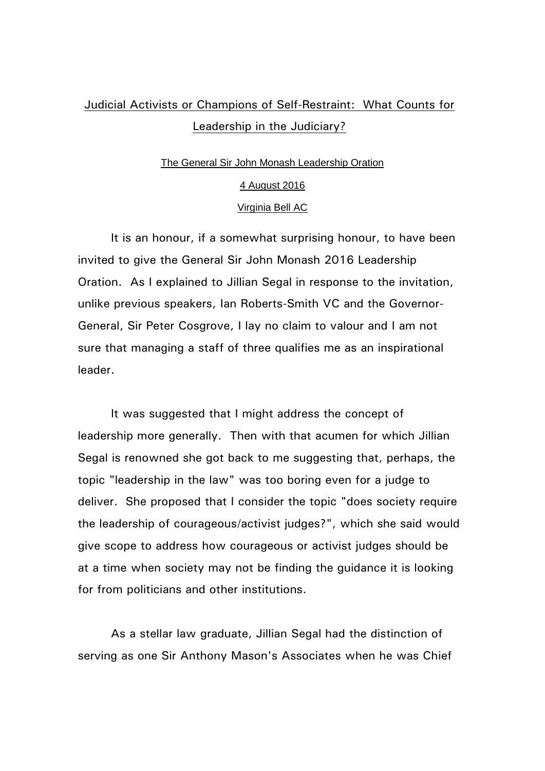## Judicial Activists or Champions of Self-Restraint: What Counts for Leadership in the Judiciary?

## The General Sir John Monash Leadership Oration

## 4 August 2016

## Virginia Bell AC

It is an honour, if a somewhat surprising honour, to have been invited to give the General Sir John Monash 2016 Leadership Oration. As I explained to Jillian Segal in response to the invitation, unlike previous speakers, Ian Roberts-Smith VC and the Governor-General, Sir Peter Cosgrove, I lay no claim to valour and I am not sure that managing a staff of three qualifies me as an inspirational leader.

It was suggested that I might address the concept of leadership more generally. Then with that acumen for which Jillian Segal is renowned she got back to me suggesting that, perhaps, the topic "leadership in the law" was too boring even for a judge to deliver. She proposed that I consider the topic "does society require the leadership of courageous/activist judges?", which she said would give scope to address how courageous or activist judges should be at a time when society may not be finding the guidance it is looking for from politicians and other institutions.

As a stellar law graduate, Jillian Segal had the distinction of serving as one Sir Anthony Mason's Associates when he was Chief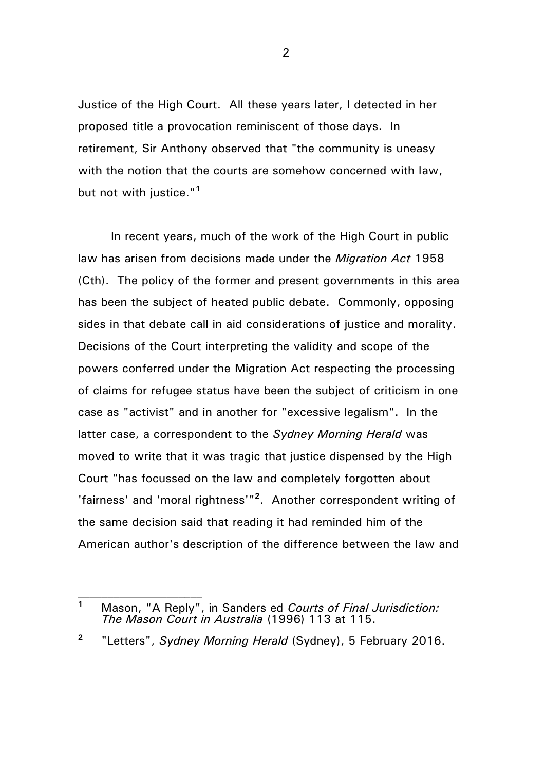Justice of the High Court. All these years later, I detected in her proposed title a provocation reminiscent of those days. In retirement, Sir Anthony observed that "the community is uneasy with the notion that the courts are somehow concerned with law, but not with justice."**<sup>1</sup>**

In recent years, much of the work of the High Court in public law has arisen from decisions made under the *Migration Act* 1958 (Cth). The policy of the former and present governments in this area has been the subject of heated public debate. Commonly, opposing sides in that debate call in aid considerations of justice and morality. Decisions of the Court interpreting the validity and scope of the powers conferred under the Migration Act respecting the processing of claims for refugee status have been the subject of criticism in one case as "activist" and in another for "excessive legalism". In the latter case, a correspondent to the *Sydney Morning Herald* was moved to write that it was tragic that justice dispensed by the High Court "has focussed on the law and completely forgotten about 'fairness' and 'moral rightness'"**<sup>2</sup>** . Another correspondent writing of the same decision said that reading it had reminded him of the American author's description of the difference between the law and

**2** "Letters", *Sydney Morning Herald* (Sydney), 5 February 2016.

**<sup>1</sup>** Mason, "A Reply", in Sanders ed *Courts of Final Jurisdiction: The Mason Court in Australia* (1996) 113 at 115.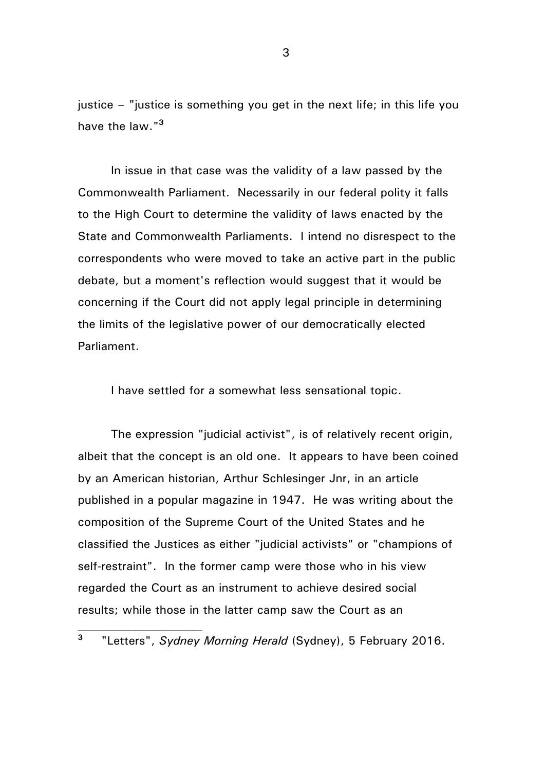justice – "justice is something you get in the next life; in this life you have the law."**<sup>3</sup>**

In issue in that case was the validity of a law passed by the Commonwealth Parliament. Necessarily in our federal polity it falls to the High Court to determine the validity of laws enacted by the State and Commonwealth Parliaments. I intend no disrespect to the correspondents who were moved to take an active part in the public debate, but a moment's reflection would suggest that it would be concerning if the Court did not apply legal principle in determining the limits of the legislative power of our democratically elected Parliament.

I have settled for a somewhat less sensational topic.

The expression "judicial activist", is of relatively recent origin, albeit that the concept is an old one. It appears to have been coined by an American historian, Arthur Schlesinger Jnr, in an article published in a popular magazine in 1947. He was writing about the composition of the Supreme Court of the United States and he classified the Justices as either "judicial activists" or "champions of self-restraint". In the former camp were those who in his view regarded the Court as an instrument to achieve desired social results; while those in the latter camp saw the Court as an

**<sup>3</sup>** "Letters", *Sydney Morning Herald* (Sydney), 5 February 2016.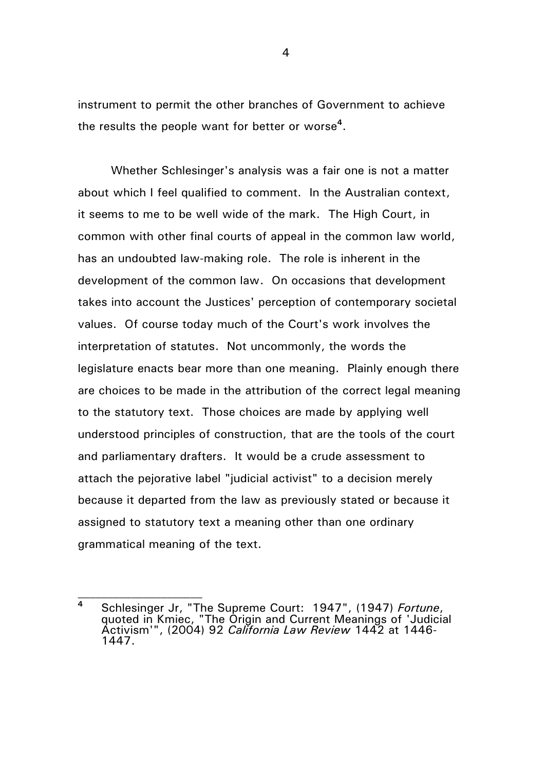instrument to permit the other branches of Government to achieve the results the people want for better or worse**<sup>4</sup>** .

Whether Schlesinger's analysis was a fair one is not a matter about which I feel qualified to comment. In the Australian context, it seems to me to be well wide of the mark. The High Court, in common with other final courts of appeal in the common law world, has an undoubted law-making role. The role is inherent in the development of the common law. On occasions that development takes into account the Justices' perception of contemporary societal values. Of course today much of the Court's work involves the interpretation of statutes. Not uncommonly, the words the legislature enacts bear more than one meaning. Plainly enough there are choices to be made in the attribution of the correct legal meaning to the statutory text. Those choices are made by applying well understood principles of construction, that are the tools of the court and parliamentary drafters. It would be a crude assessment to attach the pejorative label "judicial activist" to a decision merely because it departed from the law as previously stated or because it assigned to statutory text a meaning other than one ordinary grammatical meaning of the text.

**<sup>4</sup>** Schlesinger Jr, "The Supreme Court: 1947", (1947) *Fortune*, quoted in Kmiec, "The Origin and Current Meanings of 'Judicial Activism'", (2004) 92 *California Law Review* 1442 at 1446- 1447.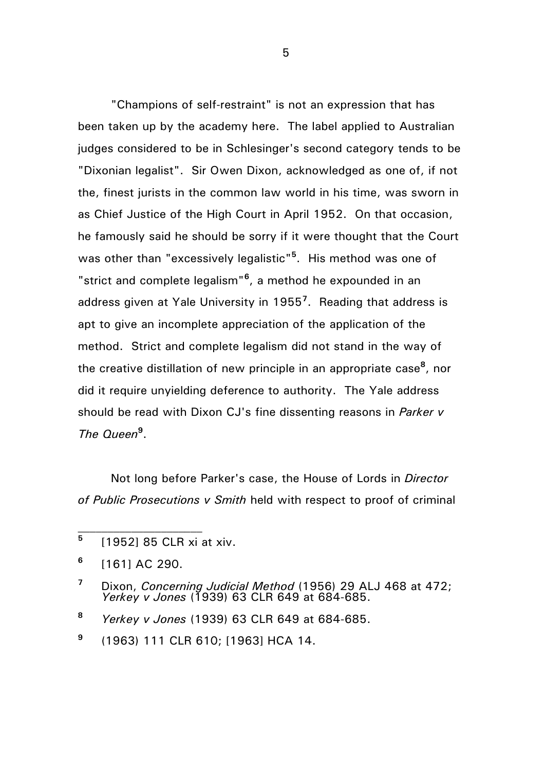"Champions of self-restraint" is not an expression that has been taken up by the academy here. The label applied to Australian judges considered to be in Schlesinger's second category tends to be "Dixonian legalist". Sir Owen Dixon, acknowledged as one of, if not the, finest jurists in the common law world in his time, was sworn in as Chief Justice of the High Court in April 1952. On that occasion, he famously said he should be sorry if it were thought that the Court was other than "excessively legalistic"**<sup>5</sup>** . His method was one of "strict and complete legalism"**<sup>6</sup>** , a method he expounded in an address given at Yale University in 1955**<sup>7</sup>** . Reading that address is apt to give an incomplete appreciation of the application of the method. Strict and complete legalism did not stand in the way of the creative distillation of new principle in an appropriate case**<sup>8</sup>** , nor did it require unyielding deference to authority. The Yale address should be read with Dixon CJ's fine dissenting reasons in *Parker v The Queen***<sup>9</sup>** .

Not long before Parker's case, the House of Lords in *Director of Public Prosecutions v Smith* held with respect to proof of criminal

**<sup>5</sup>** [1952] 85 CLR xi at xiv.

**<sup>6</sup>** [161] AC 290.

**<sup>7</sup>** Dixon, *Concerning Judicial Method* (1956) 29 ALJ 468 at 472; *Yerkey v Jones* (1939) 63 CLR 649 at 684-685.

**<sup>8</sup>** *Yerkey v Jones* (1939) 63 CLR 649 at 684-685.

**<sup>9</sup>** (1963) 111 CLR 610; [1963] HCA 14.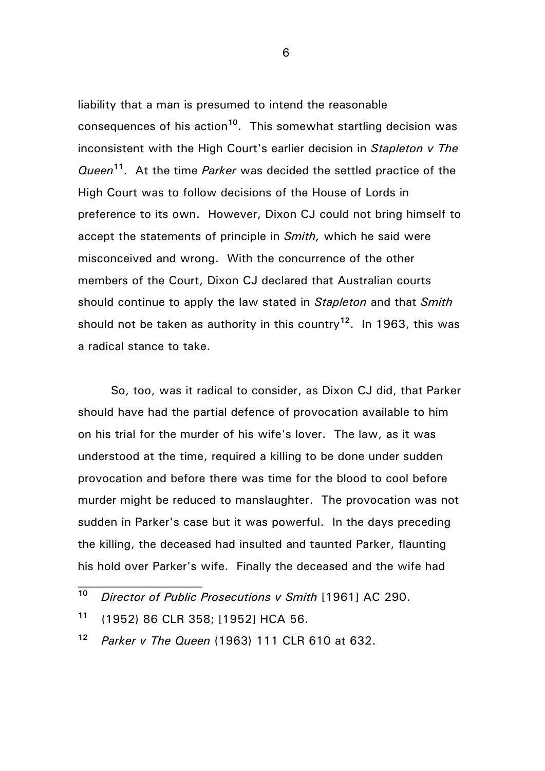liability that a man is presumed to intend the reasonable consequences of his action**<sup>10</sup>** . This somewhat startling decision was inconsistent with the High Court's earlier decision in *Stapleton v The Queen***<sup>11</sup>** . At the time *Parker* was decided the settled practice of the High Court was to follow decisions of the House of Lords in preference to its own. However, Dixon CJ could not bring himself to accept the statements of principle in *Smith,* which he said were misconceived and wrong. With the concurrence of the other members of the Court, Dixon CJ declared that Australian courts should continue to apply the law stated in *Stapleton* and that *Smith* should not be taken as authority in this country**<sup>12</sup>** . In 1963, this was a radical stance to take.

So, too, was it radical to consider, as Dixon CJ did, that Parker should have had the partial defence of provocation available to him on his trial for the murder of his wife's lover. The law, as it was understood at the time, required a killing to be done under sudden provocation and before there was time for the blood to cool before murder might be reduced to manslaughter. The provocation was not sudden in Parker's case but it was powerful. In the days preceding the killing, the deceased had insulted and taunted Parker, flaunting his hold over Parker's wife. Finally the deceased and the wife had

**<sup>10</sup>** *Director of Public Prosecutions v Smith* [1961] AC 290.

**<sup>11</sup>** (1952) 86 CLR 358; [1952] HCA 56.

**<sup>12</sup>** *Parker v The Queen* (1963) 111 CLR 610 at 632.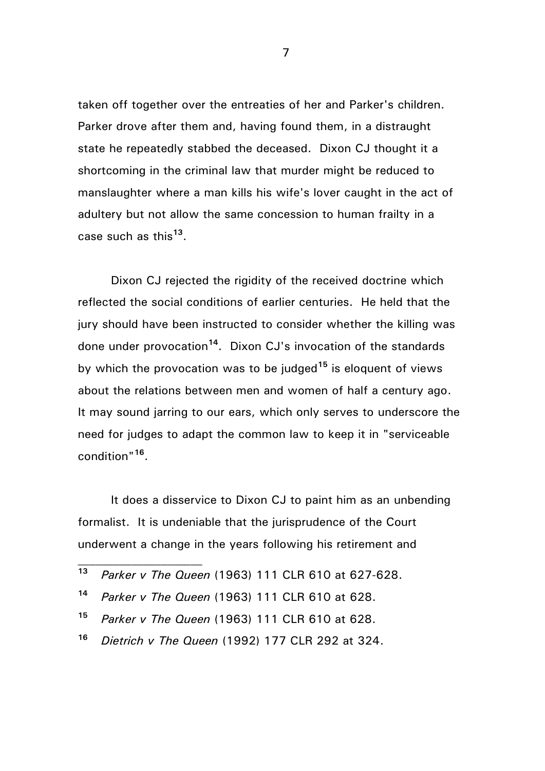taken off together over the entreaties of her and Parker's children. Parker drove after them and, having found them, in a distraught state he repeatedly stabbed the deceased. Dixon CJ thought it a shortcoming in the criminal law that murder might be reduced to manslaughter where a man kills his wife's lover caught in the act of adultery but not allow the same concession to human frailty in a case such as this**<sup>13</sup>** .

Dixon CJ rejected the rigidity of the received doctrine which reflected the social conditions of earlier centuries. He held that the jury should have been instructed to consider whether the killing was done under provocation**<sup>14</sup>** . Dixon CJ's invocation of the standards by which the provocation was to be judged**<sup>15</sup>** is eloquent of views about the relations between men and women of half a century ago. It may sound jarring to our ears, which only serves to underscore the need for judges to adapt the common law to keep it in "serviceable condition"**<sup>16</sup>** .

It does a disservice to Dixon CJ to paint him as an unbending formalist. It is undeniable that the jurisprudence of the Court underwent a change in the years following his retirement and

- **<sup>14</sup>** *Parker v The Queen* (1963) 111 CLR 610 at 628.
- **<sup>15</sup>** *Parker v The Queen* (1963) 111 CLR 610 at 628.
- **<sup>16</sup>** *Dietrich v The Queen* (1992) 177 CLR 292 at 324.

**<sup>13</sup>** *Parker v The Queen* (1963) 111 CLR 610 at 627-628.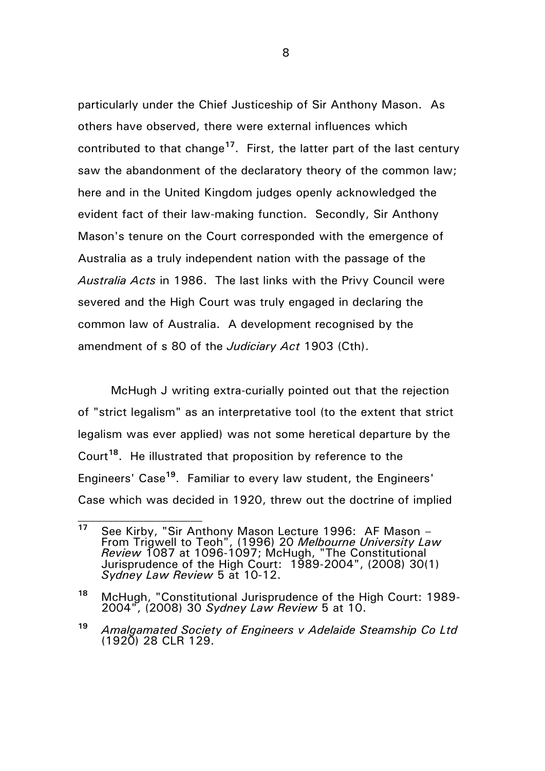particularly under the Chief Justiceship of Sir Anthony Mason. As others have observed, there were external influences which contributed to that change**<sup>17</sup>** . First, the latter part of the last century saw the abandonment of the declaratory theory of the common law; here and in the United Kingdom judges openly acknowledged the evident fact of their law-making function. Secondly, Sir Anthony Mason's tenure on the Court corresponded with the emergence of Australia as a truly independent nation with the passage of the *Australia Acts* in 1986. The last links with the Privy Council were severed and the High Court was truly engaged in declaring the common law of Australia. A development recognised by the amendment of s 80 of the *Judiciary Act* 1903 (Cth).

McHugh J writing extra-curially pointed out that the rejection of "strict legalism" as an interpretative tool (to the extent that strict legalism was ever applied) was not some heretical departure by the Court**<sup>18</sup>** . He illustrated that proposition by reference to the Engineers' Case**<sup>19</sup>** . Familiar to every law student, the Engineers' Case which was decided in 1920, threw out the doctrine of implied

**<sup>17</sup>** See Kirby, "Sir Anthony Mason Lecture 1996: AF Mason – From Trigwell to Teoh", (1996) 20 *Melbourne University Law Review* 1087 at 1096-1097; McHugh, "The Constitutional Jurisprudence of the High Court: 1989-2004", (2008) 30(1) *Sydney Law Review* 5 at 10-12.

**<sup>18</sup>** McHugh, "Constitutional Jurisprudence of the High Court: 1989- 2004", (2008) 30 *Sydney Law Review* 5 at 10.

**<sup>19</sup>** *Amalgamated Society of Engineers v Adelaide Steamship Co Ltd* (1920) 28 CLR 129.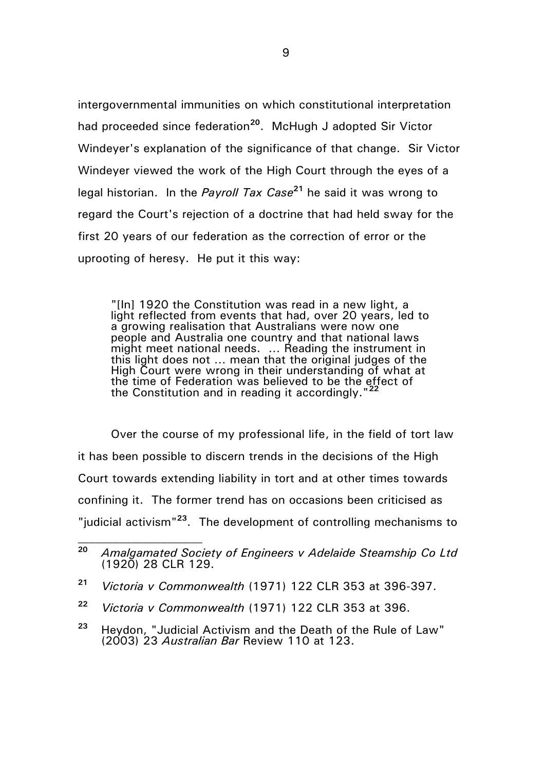intergovernmental immunities on which constitutional interpretation had proceeded since federation**<sup>20</sup>** . McHugh J adopted Sir Victor Windeyer's explanation of the significance of that change. Sir Victor Windeyer viewed the work of the High Court through the eyes of a legal historian. In the *Payroll Tax Case* **<sup>21</sup>** he said it was wrong to regard the Court's rejection of a doctrine that had held sway for the first 20 years of our federation as the correction of error or the uprooting of heresy. He put it this way:

"[In] 1920 the Constitution was read in a new light, a light reflected from events that had, over 20 years, led to a growing realisation that Australians were now one people and Australia one country and that national laws might meet national needs. ... Reading the instrument in this light does not … mean that the original judges of the High Court were wrong in their understanding of what at the time of Federation was believed to be the effect of the Constitution and in reading it accordingly."**<sup>22</sup>**

Over the course of my professional life, in the field of tort law it has been possible to discern trends in the decisions of the High Court towards extending liability in tort and at other times towards confining it. The former trend has on occasions been criticised as "judicial activism"**<sup>23</sup>** . The development of controlling mechanisms to

**<sup>20</sup>** *Amalgamated Society of Engineers v Adelaide Steamship Co Ltd* (1920) 28 CLR 129.

**<sup>21</sup>** *Victoria v Commonwealth* (1971) 122 CLR 353 at 396-397.

**<sup>22</sup>** *Victoria v Commonwealth* (1971) 122 CLR 353 at 396.

**<sup>23</sup>** Heydon, "Judicial Activism and the Death of the Rule of Law" (2003) 23 *Australian Bar* Review 110 at 123.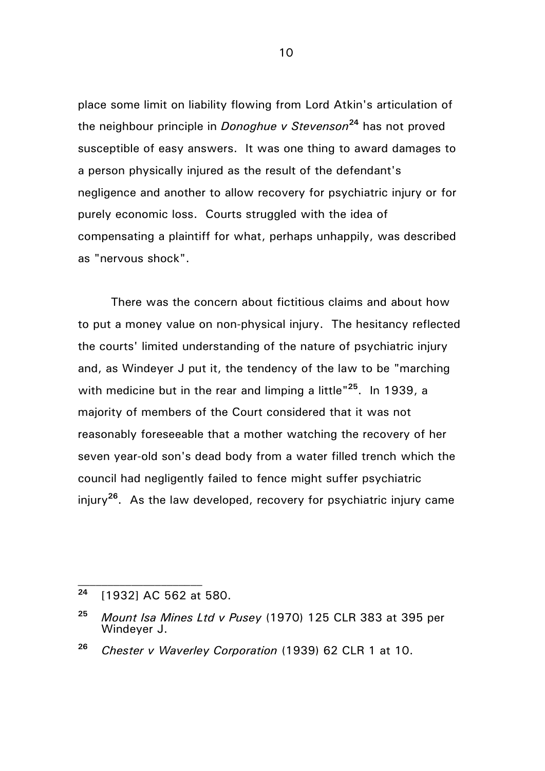place some limit on liability flowing from Lord Atkin's articulation of the neighbour principle in *Donoghue v Stevenson***<sup>24</sup>** has not proved susceptible of easy answers. It was one thing to award damages to a person physically injured as the result of the defendant's negligence and another to allow recovery for psychiatric injury or for purely economic loss. Courts struggled with the idea of compensating a plaintiff for what, perhaps unhappily, was described as "nervous shock".

There was the concern about fictitious claims and about how to put a money value on non-physical injury. The hesitancy reflected the courts' limited understanding of the nature of psychiatric injury and, as Windeyer J put it, the tendency of the law to be "marching with medicine but in the rear and limping a little<sup>"25</sup>. In 1939, a majority of members of the Court considered that it was not reasonably foreseeable that a mother watching the recovery of her seven year-old son's dead body from a water filled trench which the council had negligently failed to fence might suffer psychiatric injury**<sup>26</sup>** . As the law developed, recovery for psychiatric injury came

**<sup>24</sup>** [1932] AC 562 at 580.

**<sup>25</sup>** *Mount Isa Mines Ltd v Pusey* (1970) 125 CLR 383 at 395 per Windeyer J.

**<sup>26</sup>** *Chester v Waverley Corporation* (1939) 62 CLR 1 at 10.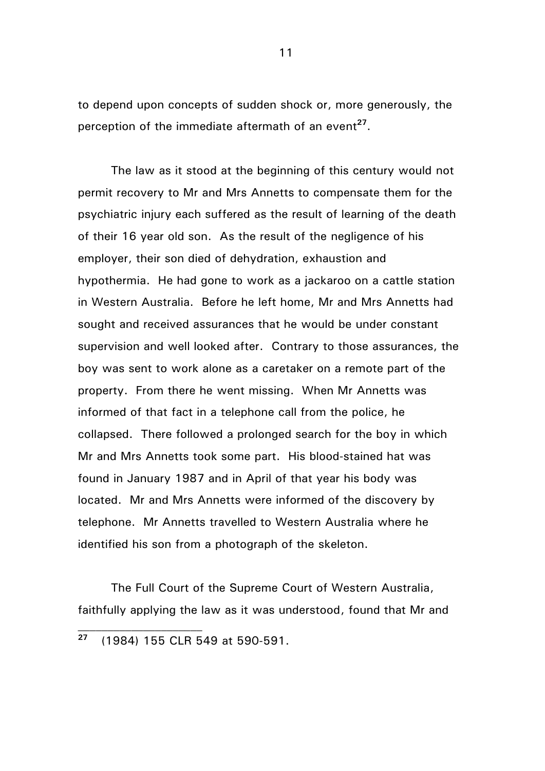to depend upon concepts of sudden shock or, more generously, the perception of the immediate aftermath of an event<sup>27</sup>.

The law as it stood at the beginning of this century would not permit recovery to Mr and Mrs Annetts to compensate them for the psychiatric injury each suffered as the result of learning of the death of their 16 year old son. As the result of the negligence of his employer, their son died of dehydration, exhaustion and hypothermia. He had gone to work as a jackaroo on a cattle station in Western Australia. Before he left home, Mr and Mrs Annetts had sought and received assurances that he would be under constant supervision and well looked after. Contrary to those assurances, the boy was sent to work alone as a caretaker on a remote part of the property. From there he went missing. When Mr Annetts was informed of that fact in a telephone call from the police, he collapsed. There followed a prolonged search for the boy in which Mr and Mrs Annetts took some part. His blood-stained hat was found in January 1987 and in April of that year his body was located. Mr and Mrs Annetts were informed of the discovery by telephone. Mr Annetts travelled to Western Australia where he identified his son from a photograph of the skeleton.

The Full Court of the Supreme Court of Western Australia, faithfully applying the law as it was understood, found that Mr and

**<sup>27</sup>** (1984) 155 CLR 549 at 590-591.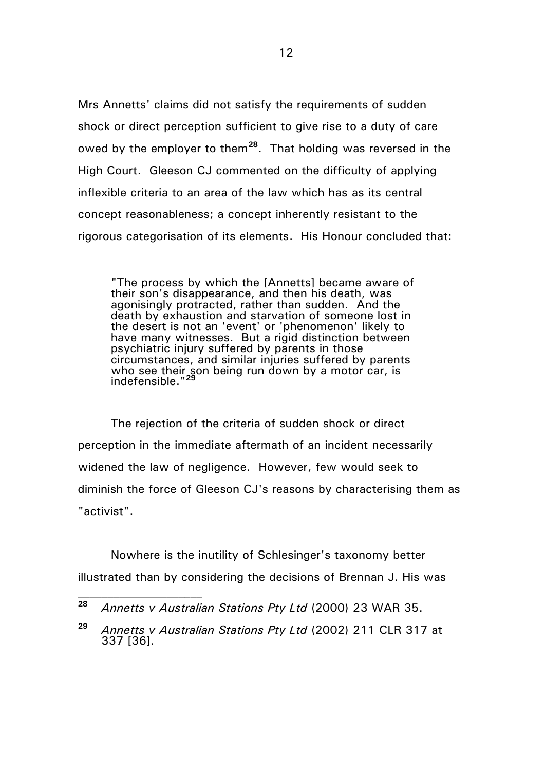Mrs Annetts' claims did not satisfy the requirements of sudden shock or direct perception sufficient to give rise to a duty of care owed by the employer to them**<sup>28</sup>**. That holding was reversed in the High Court. Gleeson CJ commented on the difficulty of applying inflexible criteria to an area of the law which has as its central concept reasonableness; a concept inherently resistant to the rigorous categorisation of its elements. His Honour concluded that:

"The process by which the [Annetts] became aware of their son's disappearance, and then his death, was agonisingly protracted, rather than sudden. And the death by exhaustion and starvation of someone lost in the desert is not an 'event' or 'phenomenon' likely to have many witnesses. But a rigid distinction between psychiatric injury suffered by parents in those circumstances, and similar injuries suffered by parents who see their son being run down by a motor car, is indefensible."**<sup>29</sup>**

The rejection of the criteria of sudden shock or direct perception in the immediate aftermath of an incident necessarily widened the law of negligence. However, few would seek to diminish the force of Gleeson CJ's reasons by characterising them as "activist".

Nowhere is the inutility of Schlesinger's taxonomy better illustrated than by considering the decisions of Brennan J. His was

**<sup>28</sup>** *Annetts v Australian Stations Pty Ltd* (2000) 23 WAR 35.

**<sup>29</sup>** *Annetts v Australian Stations Pty Ltd* (2002) 211 CLR 317 at 337 [36].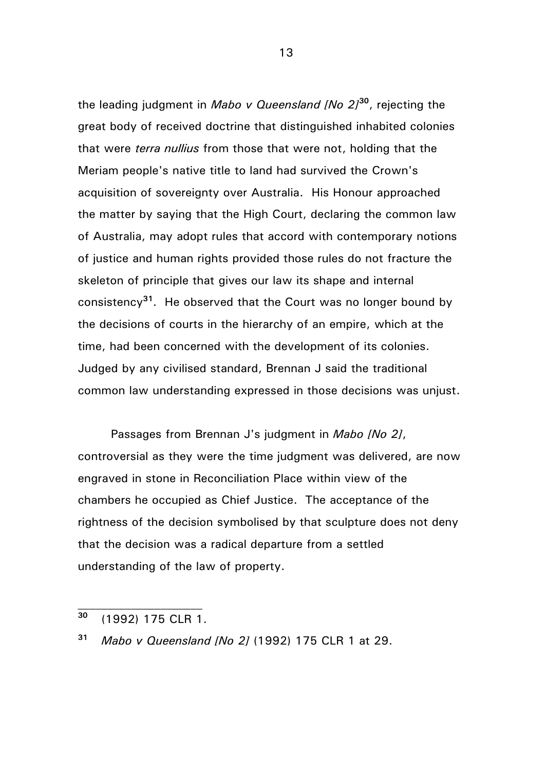the leading judgment in *Mabo v Queensland [No 2]***<sup>30</sup>** , rejecting the great body of received doctrine that distinguished inhabited colonies that were *terra nullius* from those that were not, holding that the Meriam people's native title to land had survived the Crown's acquisition of sovereignty over Australia. His Honour approached the matter by saying that the High Court, declaring the common law of Australia, may adopt rules that accord with contemporary notions of justice and human rights provided those rules do not fracture the skeleton of principle that gives our law its shape and internal consistency**<sup>31</sup>** . He observed that the Court was no longer bound by the decisions of courts in the hierarchy of an empire, which at the time, had been concerned with the development of its colonies. Judged by any civilised standard, Brennan J said the traditional common law understanding expressed in those decisions was unjust.

Passages from Brennan J's judgment in *Mabo [No 2]*, controversial as they were the time judgment was delivered, are now engraved in stone in Reconciliation Place within view of the chambers he occupied as Chief Justice. The acceptance of the rightness of the decision symbolised by that sculpture does not deny that the decision was a radical departure from a settled understanding of the law of property.

**<sup>30</sup>** (1992) 175 CLR 1.

**<sup>31</sup>** *Mabo v Queensland [No 2]* (1992) 175 CLR 1 at 29.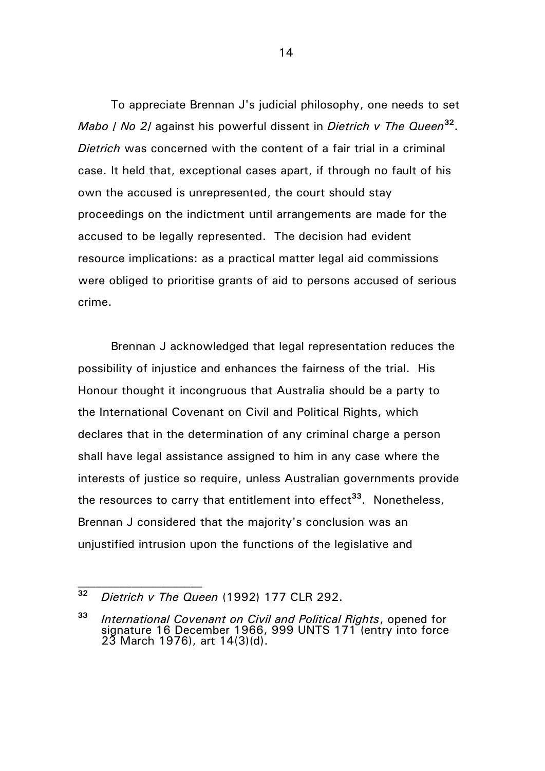To appreciate Brennan J's judicial philosophy, one needs to set *Mabo [ No 2]* against his powerful dissent in *Dietrich v The Queen***<sup>32</sup>** . *Dietrich* was concerned with the content of a fair trial in a criminal case. It held that, exceptional cases apart, if through no fault of his own the accused is unrepresented, the court should stay proceedings on the indictment until arrangements are made for the accused to be legally represented. The decision had evident resource implications: as a practical matter legal aid commissions were obliged to prioritise grants of aid to persons accused of serious crime.

Brennan J acknowledged that legal representation reduces the possibility of injustice and enhances the fairness of the trial. His Honour thought it incongruous that Australia should be a party to the International Covenant on Civil and Political Rights, which declares that in the determination of any criminal charge a person shall have legal assistance assigned to him in any case where the interests of justice so require, unless Australian governments provide the resources to carry that entitlement into effect**<sup>33</sup>** . Nonetheless, Brennan J considered that the majority's conclusion was an unjustified intrusion upon the functions of the legislative and

**<sup>32</sup>** *Dietrich v The Queen* (1992) 177 CLR 292.

**<sup>33</sup>** *International Covenant on Civil and Political Rights*, opened for signature 16 December 1966, 999 UNTS 171 (entry into force 23 March 1976), art 14(3)(d).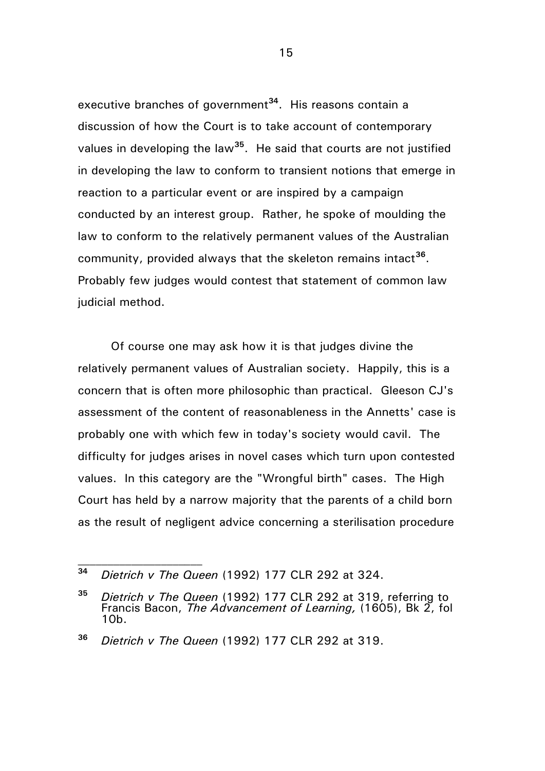executive branches of government<sup>34</sup>. His reasons contain a discussion of how the Court is to take account of contemporary values in developing the law**<sup>35</sup>** . He said that courts are not justified in developing the law to conform to transient notions that emerge in reaction to a particular event or are inspired by a campaign conducted by an interest group. Rather, he spoke of moulding the law to conform to the relatively permanent values of the Australian community, provided always that the skeleton remains intact**<sup>36</sup>** . Probably few judges would contest that statement of common law judicial method.

Of course one may ask how it is that judges divine the relatively permanent values of Australian society. Happily, this is a concern that is often more philosophic than practical. Gleeson CJ's assessment of the content of reasonableness in the Annetts' case is probably one with which few in today's society would cavil. The difficulty for judges arises in novel cases which turn upon contested values. In this category are the "Wrongful birth" cases. The High Court has held by a narrow majority that the parents of a child born as the result of negligent advice concerning a sterilisation procedure

**<sup>34</sup>** *Dietrich v The Queen* (1992) 177 CLR 292 at 324.

**<sup>35</sup>** *Dietrich v The Queen* (1992) 177 CLR 292 at 319, referring to Francis Bacon, *The Advancement of Learning,* (1605), Bk 2, fol 10b.

**<sup>36</sup>** *Dietrich v The Queen* (1992) 177 CLR 292 at 319.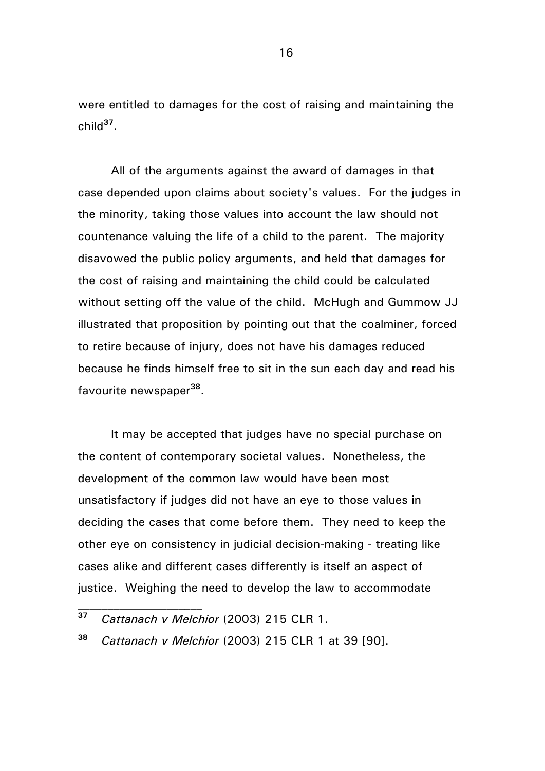were entitled to damages for the cost of raising and maintaining the child**<sup>37</sup>** .

All of the arguments against the award of damages in that case depended upon claims about society's values. For the judges in the minority, taking those values into account the law should not countenance valuing the life of a child to the parent. The majority disavowed the public policy arguments, and held that damages for the cost of raising and maintaining the child could be calculated without setting off the value of the child. McHugh and Gummow JJ illustrated that proposition by pointing out that the coalminer, forced to retire because of injury, does not have his damages reduced because he finds himself free to sit in the sun each day and read his favourite newspaper**<sup>38</sup>** .

It may be accepted that judges have no special purchase on the content of contemporary societal values. Nonetheless, the development of the common law would have been most unsatisfactory if judges did not have an eye to those values in deciding the cases that come before them. They need to keep the other eye on consistency in judicial decision-making - treating like cases alike and different cases differently is itself an aspect of justice. Weighing the need to develop the law to accommodate

**<sup>38</sup>** *Cattanach v Melchior* (2003) 215 CLR 1 at 39 [90].

**<sup>37</sup>** *Cattanach v Melchior* (2003) 215 CLR 1.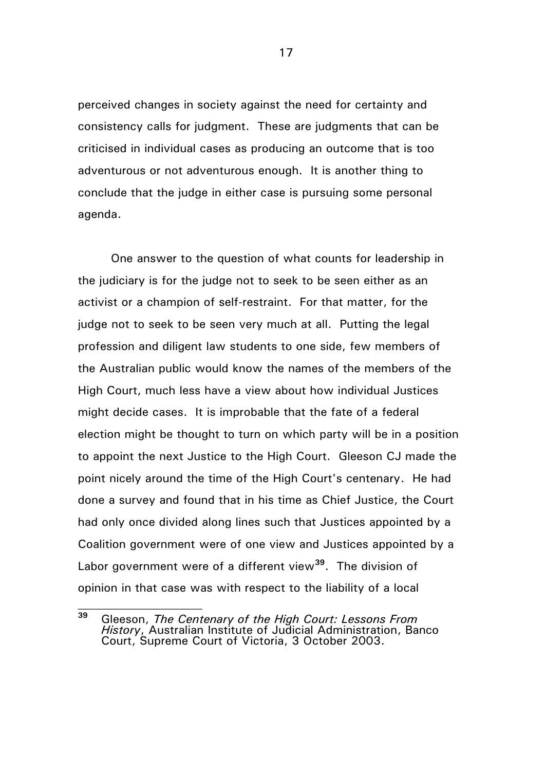perceived changes in society against the need for certainty and consistency calls for judgment. These are judgments that can be criticised in individual cases as producing an outcome that is too adventurous or not adventurous enough. It is another thing to conclude that the judge in either case is pursuing some personal agenda.

One answer to the question of what counts for leadership in the judiciary is for the judge not to seek to be seen either as an activist or a champion of self-restraint. For that matter, for the judge not to seek to be seen very much at all. Putting the legal profession and diligent law students to one side, few members of the Australian public would know the names of the members of the High Court, much less have a view about how individual Justices might decide cases. It is improbable that the fate of a federal election might be thought to turn on which party will be in a position to appoint the next Justice to the High Court. Gleeson CJ made the point nicely around the time of the High Court's centenary. He had done a survey and found that in his time as Chief Justice, the Court had only once divided along lines such that Justices appointed by a Coalition government were of one view and Justices appointed by a Labor government were of a different view**<sup>39</sup>** . The division of opinion in that case was with respect to the liability of a local

**<sup>39</sup>** Gleeson, *The Centenary of the High Court: Lessons From History*, Australian Institute of Judicial Administration, Banco Court, Supreme Court of Victoria, 3 October 2003.